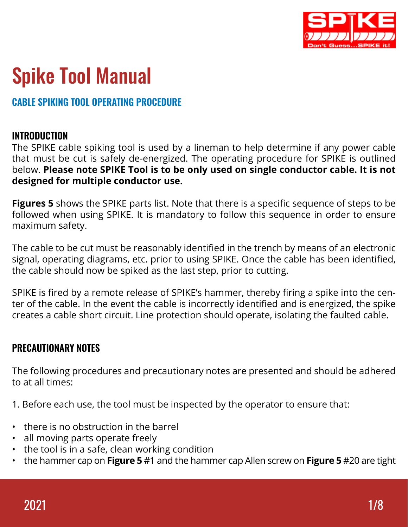

# Spike Tool Manual

# CABLE SPIKING TOOL OPERATING PROCEDURE

## INTRODUCTION

The SPIKE cable spiking tool is used by a lineman to help determine if any power cable that must be cut is safely de-energized. The operating procedure for SPIKE is outlined below. **Please note SPIKE Tool is to be only used on single conductor cable. It is not designed for multiple conductor use.**

**Figures 5** shows the SPIKE parts list. Note that there is a specific sequence of steps to be followed when using SPIKE. It is mandatory to follow this sequence in order to ensure maximum safety.

The cable to be cut must be reasonably identified in the trench by means of an electronic signal, operating diagrams, etc. prior to using SPIKE. Once the cable has been identified, the cable should now be spiked as the last step, prior to cutting.

SPIKE is fired by a remote release of SPIKE's hammer, thereby firing a spike into the center of the cable. In the event the cable is incorrectly identified and is energized, the spike creates a cable short circuit. Line protection should operate, isolating the faulted cable.

## PRECAUTIONARY NOTES

The following procedures and precautionary notes are presented and should be adhered to at all times:

1. Before each use, the tool must be inspected by the operator to ensure that:

- there is no obstruction in the barrel
- all moving parts operate freely
- the tool is in a safe, clean working condition
- the hammer cap on **Figure 5** #1 and the hammer cap Allen screw on **Figure 5** #20 are tight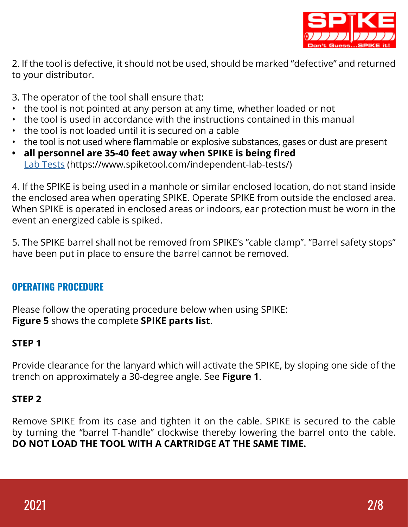

2. If the tool is defective, it should not be used, should be marked "defective" and returned to your distributor.

3. The operator of the tool shall ensure that:

- the tool is not pointed at any person at any time, whether loaded or not
- the tool is used in accordance with the instructions contained in this manual
- the tool is not loaded until it is secured on a cable
- the tool is not used where flammable or explosive substances, gases or dust are present
- **• all personnel are 35-40 feet away when SPIKE is being fired** Lab Tests (https://www.spiketool.com/independent-lab-tests/)

4. If the SPIKE is being used in a manhole or similar enclosed location, do not stand inside the enclosed area when operating SPIKE. Operate SPIKE from outside the enclosed area. When SPIKE is operated in enclosed areas or indoors, ear protection must be worn in the event an energized cable is spiked.

5. The SPIKE barrel shall not be removed from SPIKE's "cable clamp". "Barrel safety stops" have been put in place to ensure the barrel cannot be removed.

## OPERATING PROCEDURE

Please follow the operating procedure below when using SPIKE: **Figure 5** shows the complete **SPIKE parts list**.

## **STEP 1**

Provide clearance for the lanyard which will activate the SPIKE, by sloping one side of the trench on approximately a 30-degree angle. See **Figure 1**.

## **STEP 2**

Remove SPIKE from its case and tighten it on the cable. SPIKE is secured to the cable by turning the "barrel T-handle" clockwise thereby lowering the barrel onto the cable. **DO NOT LOAD THE TOOL WITH A CARTRIDGE AT THE SAME TIME.**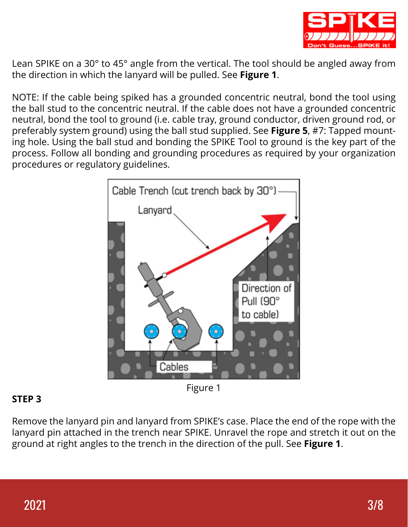

Lean SPIKE on a 30° to 45° angle from the vertical. The tool should be angled away from the direction in which the lanyard will be pulled. See **Figure 1**.

NOTE: If the cable being spiked has a grounded concentric neutral, bond the tool using the ball stud to the concentric neutral. If the cable does not have a grounded concentric neutral, bond the tool to ground (i.e. cable tray, ground conductor, driven ground rod, or preferably system ground) using the ball stud supplied. See **Figure 5**, #7: Tapped mounting hole. Using the ball stud and bonding the SPIKE Tool to ground is the key part of the process. Follow all bonding and grounding procedures as required by your organization procedures or regulatory guidelines.



## **STEP 3**

Remove the lanyard pin and lanyard from SPIKE's case. Place the end of the rope with the lanyard pin attached in the trench near SPIKE. Unravel the rope and stretch it out on the ground at right angles to the trench in the direction of the pull. See **Figure 1**.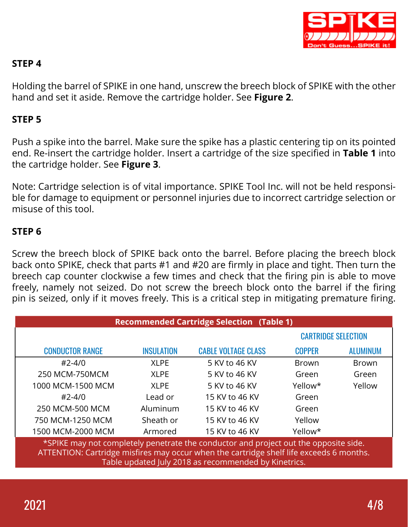

## **STEP 4**

Holding the barrel of SPIKE in one hand, unscrew the breech block of SPIKE with the other hand and set it aside. Remove the cartridge holder. See **Figure 2**.

#### **STEP 5**

Push a spike into the barrel. Make sure the spike has a plastic centering tip on its pointed end. Re-insert the cartridge holder. Insert a cartridge of the size specified in **Table 1** into the cartridge holder. See **Figure 3**.

Note: Cartridge selection is of vital importance. SPIKE Tool Inc. will not be held responsible for damage to equipment or personnel injuries due to incorrect cartridge selection or misuse of this tool.

#### **STEP 6**

Screw the breech block of SPIKE back onto the barrel. Before placing the breech block back onto SPIKE, check that parts #1 and #20 are firmly in place and tight. Then turn the breech cap counter clockwise a few times and check that the firing pin is able to move freely, namely not seized. Do not screw the breech block onto the barrel if the firing pin is seized, only if it moves freely. This is a critical step in mitigating premature firing.

| <b>Recommended Cartridge Selection (Table 1)</b>                                                                                                                                                                                        |                   |                            |                            |                 |
|-----------------------------------------------------------------------------------------------------------------------------------------------------------------------------------------------------------------------------------------|-------------------|----------------------------|----------------------------|-----------------|
|                                                                                                                                                                                                                                         |                   |                            | <b>CARTRIDGE SELECTION</b> |                 |
| <b>CONDUCTOR RANGE</b>                                                                                                                                                                                                                  | <b>INSULATION</b> | <b>CABLE VOLTAGE CLASS</b> | <b>COPPER</b>              | <b>ALUMINUM</b> |
| $#2 - 4/0$                                                                                                                                                                                                                              | <b>XLPE</b>       | 5 KV to 46 KV              | <b>Brown</b>               | <b>Brown</b>    |
| 250 MCM-750MCM                                                                                                                                                                                                                          | <b>XLPE</b>       | 5 KV to 46 KV              | Green                      | Green           |
| 1000 MCM-1500 MCM                                                                                                                                                                                                                       | <b>XLPE</b>       | 5 KV to 46 KV              | Yellow*                    | Yellow          |
| $#2 - 4/0$                                                                                                                                                                                                                              | Lead or           | 15 KV to 46 KV             | Green                      |                 |
| 250 MCM-500 MCM                                                                                                                                                                                                                         | Aluminum          | 15 KV to 46 KV             | Green                      |                 |
| 750 MCM-1250 MCM                                                                                                                                                                                                                        | Sheath or         | 15 KV to 46 KV             | Yellow                     |                 |
| 1500 MCM-2000 MCM                                                                                                                                                                                                                       | Armored           | 15 KV to 46 KV             | Yellow*                    |                 |
| *SPIKE may not completely penetrate the conductor and project out the opposite side.<br>ATTENTION: Cartridge misfires may occur when the cartridge shelf life exceeds 6 months.<br>Table updated July 2018 as recommended by Kinetrics. |                   |                            |                            |                 |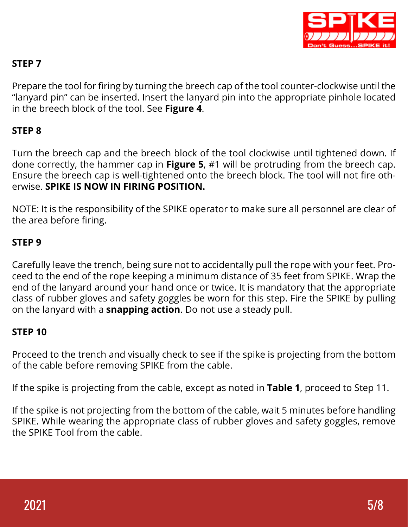

## **STEP 7**

Prepare the tool for firing by turning the breech cap of the tool counter-clockwise until the "lanyard pin" can be inserted. Insert the lanyard pin into the appropriate pinhole located in the breech block of the tool. See **Figure 4**.

## **STEP 8**

Turn the breech cap and the breech block of the tool clockwise until tightened down. If done correctly, the hammer cap in **Figure 5**, #1 will be protruding from the breech cap. Ensure the breech cap is well-tightened onto the breech block. The tool will not fire otherwise. **SPIKE IS NOW IN FIRING POSITION.**

NOTE: It is the responsibility of the SPIKE operator to make sure all personnel are clear of the area before firing.

## **STEP 9**

Carefully leave the trench, being sure not to accidentally pull the rope with your feet. Proceed to the end of the rope keeping a minimum distance of 35 feet from SPIKE. Wrap the end of the lanyard around your hand once or twice. It is mandatory that the appropriate class of rubber gloves and safety goggles be worn for this step. Fire the SPIKE by pulling on the lanyard with a **snapping action**. Do not use a steady pull.

## **STEP 10**

Proceed to the trench and visually check to see if the spike is projecting from the bottom of the cable before removing SPIKE from the cable.

If the spike is projecting from the cable, except as noted in **Table 1**, proceed to Step 11.

If the spike is not projecting from the bottom of the cable, wait 5 minutes before handling SPIKE. While wearing the appropriate class of rubber gloves and safety goggles, remove the SPIKE Tool from the cable.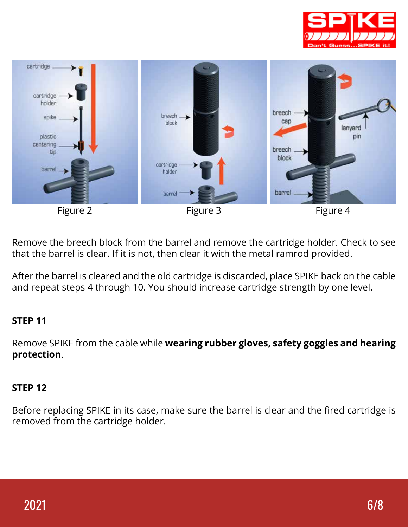



Remove the breech block from the barrel and remove the cartridge holder. Check to see that the barrel is clear. If it is not, then clear it with the metal ramrod provided.

After the barrel is cleared and the old cartridge is discarded, place SPIKE back on the cable and repeat steps 4 through 10. You should increase cartridge strength by one level.

## **STEP 11**

Remove SPIKE from the cable while **wearing rubber gloves, safety goggles and hearing protection**.

## **STEP 12**

Before replacing SPIKE in its case, make sure the barrel is clear and the fired cartridge is removed from the cartridge holder.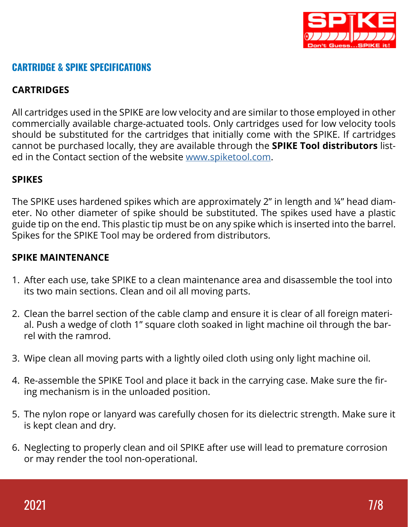

## CARTRIDGE & SPIKE SPECIFICATIONS

## **CARTRIDGES**

All cartridges used in the SPIKE are low velocity and are similar to those employed in other commercially available charge-actuated tools. Only cartridges used for low velocity tools should be substituted for the cartridges that initially come with the SPIKE. If cartridges cannot be purchased locally, they are available through the **SPIKE Tool distributors** listed in the Contact section of the website www.spiketool.com.

#### **SPIKES**

The SPIKE uses hardened spikes which are approximately 2" in length and ¼" head diameter. No other diameter of spike should be substituted. The spikes used have a plastic guide tip on the end. This plastic tip must be on any spike which is inserted into the barrel. Spikes for the SPIKE Tool may be ordered from distributors.

## **SPIKE MAINTENANCE**

- 1. After each use, take SPIKE to a clean maintenance area and disassemble the tool into its two main sections. Clean and oil all moving parts.
- 2. Clean the barrel section of the cable clamp and ensure it is clear of all foreign material. Push a wedge of cloth 1" square cloth soaked in light machine oil through the barrel with the ramrod.
- 3. Wipe clean all moving parts with a lightly oiled cloth using only light machine oil.
- 4. Re-assemble the SPIKE Tool and place it back in the carrying case. Make sure the firing mechanism is in the unloaded position.
- 5. The nylon rope or lanyard was carefully chosen for its dielectric strength. Make sure it is kept clean and dry.
- 6. Neglecting to properly clean and oil SPIKE after use will lead to premature corrosion or may render the tool non-operational.